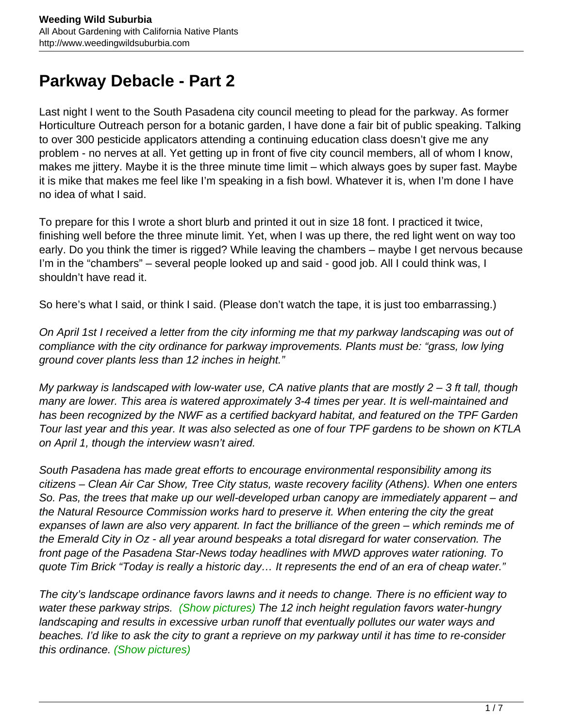## **Parkway Debacle - Part 2**

Last night I went to the South Pasadena city council meeting to plead for the parkway. As former Horticulture Outreach person for a botanic garden, I have done a fair bit of public speaking. Talking to over 300 pesticide applicators attending a continuing education class doesn't give me any problem - no nerves at all. Yet getting up in front of five city council members, all of whom I know, makes me jittery. Maybe it is the three minute time limit – which always goes by super fast. Maybe it is mike that makes me feel like I'm speaking in a fish bowl. Whatever it is, when I'm done I have no idea of what I said.

To prepare for this I wrote a short blurb and printed it out in size 18 font. I practiced it twice, finishing well before the three minute limit. Yet, when I was up there, the red light went on way too early. Do you think the timer is rigged? While leaving the chambers – maybe I get nervous because I'm in the "chambers" – several people looked up and said - good job. All I could think was, I shouldn't have read it.

So here's what I said, or think I said. (Please don't watch the tape, it is just too embarrassing.)

On April 1st I received a letter from the city informing me that my parkway landscaping was out of compliance with the city ordinance for parkway improvements. Plants must be: "grass, low lying ground cover plants less than 12 inches in height."

My parkway is landscaped with low-water use, CA native plants that are mostly 2 – 3 ft tall, though many are lower. This area is watered approximately 3-4 times per year. It is well-maintained and has been recognized by the NWF as a certified backyard habitat, and featured on the TPF Garden Tour last year and this year. It was also selected as one of four TPF gardens to be shown on KTLA on April 1, though the interview wasn't aired.

South Pasadena has made great efforts to encourage environmental responsibility among its citizens – Clean Air Car Show, Tree City status, waste recovery facility (Athens). When one enters So. Pas, the trees that make up our well-developed urban canopy are immediately apparent – and the Natural Resource Commission works hard to preserve it. When entering the city the great expanses of lawn are also very apparent. In fact the brilliance of the green – which reminds me of the Emerald City in Oz - all year around bespeaks a total disregard for water conservation. The front page of the Pasadena Star-News today headlines with MWD approves water rationing. To quote Tim Brick "Today is really a historic day… It represents the end of an era of cheap water."

The city's landscape ordinance favors lawns and it needs to change. There is no efficient way to water these parkway strips. (Show pictures) The 12 inch height regulation favors water-hungry landscaping and results in excessive urban runoff that eventually pollutes our water ways and beaches. I'd like to ask the city to grant a reprieve on my parkway until it has time to re-consider this ordinance. (Show pictures)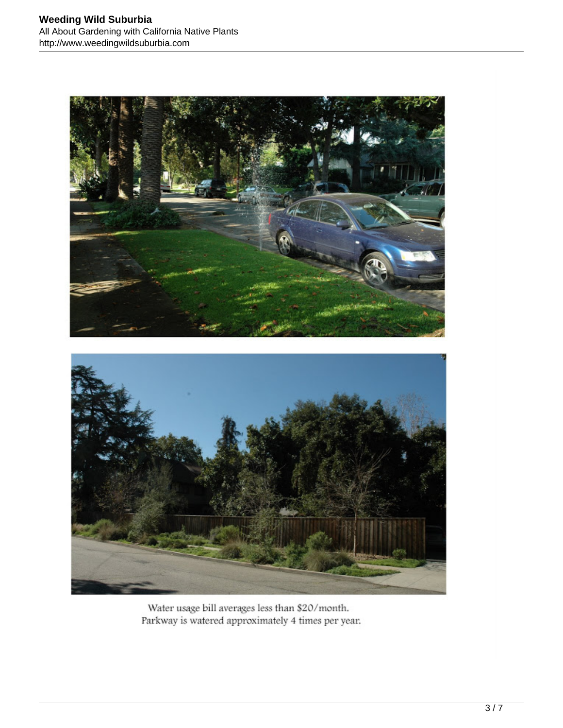

Water usage bill averages less than \$20/month. Parkway is watered approximately 4 times per year.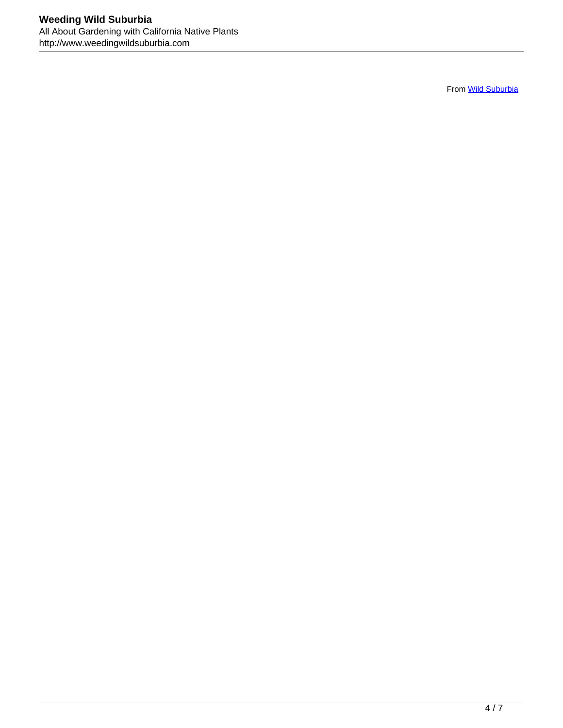From [Wild Suburbia](http://picasaweb.google.com/barbara.eisenstein/WildSuburbia?authkey=Gv1sRgCL6usLmA2dm3Cg&feat=embedwebsite)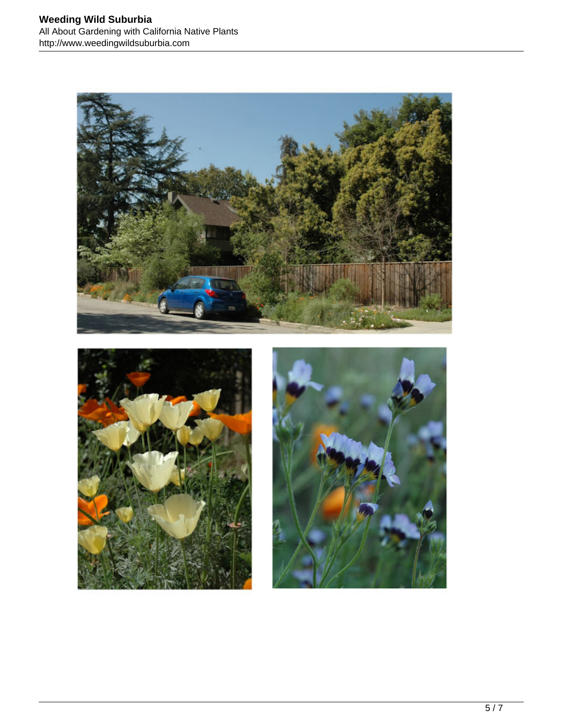



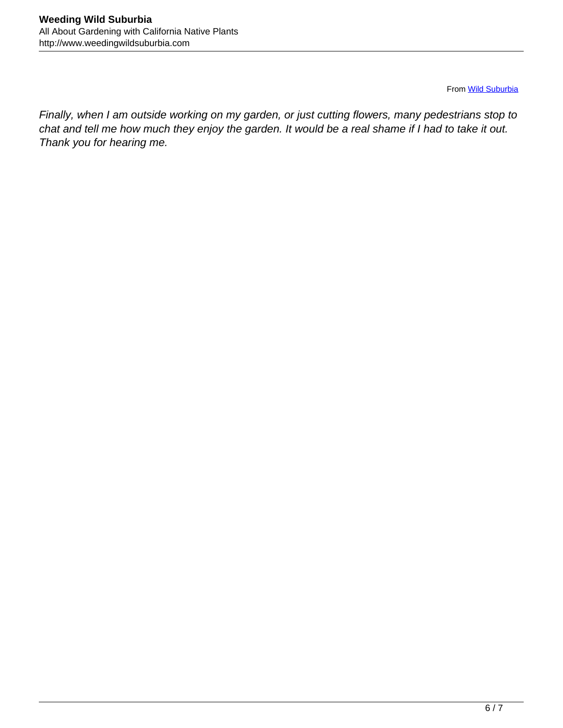From [Wild Suburbia](http://picasaweb.google.com/barbara.eisenstein/WildSuburbia?authkey=Gv1sRgCL6usLmA2dm3Cg&feat=embedwebsite)

Finally, when I am outside working on my garden, or just cutting flowers, many pedestrians stop to chat and tell me how much they enjoy the garden. It would be a real shame if I had to take it out. Thank you for hearing me.